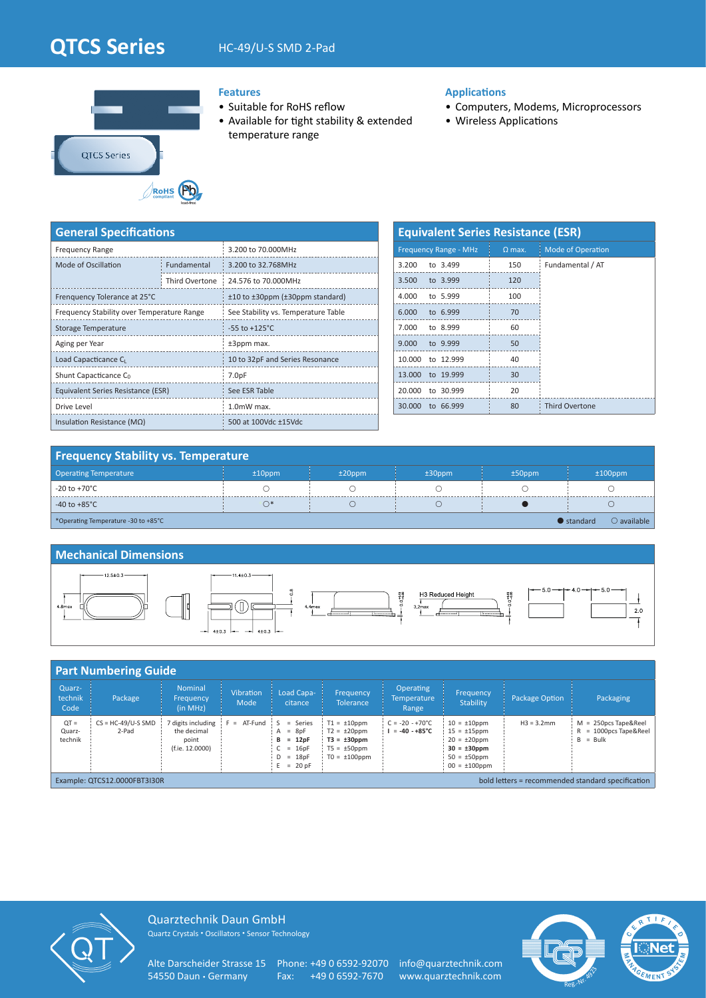# **QTCS Series** HC-49/U-S SMD 2-Pad



## **Features**

- Suitable for RoHS reflow
- Available for tight stability & extended temperature range

## **Applications**

- Computers, Modems, Microprocessors
- Wireless Applications

| <b>General Specifications</b>              |                |                                     |  |  |  |  |  |
|--------------------------------------------|----------------|-------------------------------------|--|--|--|--|--|
| <b>Frequency Range</b>                     |                | 3.200 to 70.000MHz                  |  |  |  |  |  |
| Mode of Oscillation                        | Fundamental    | 3.200 to 32.768MHz                  |  |  |  |  |  |
|                                            | Third Overtone | 24.576 to 70.000MHz                 |  |  |  |  |  |
| Frenquency Tolerance at 25°C               |                | ±10 to ±30ppm (±30ppm standard)     |  |  |  |  |  |
| Frequency Stability over Temperature Range |                | See Stability vs. Temperature Table |  |  |  |  |  |
| Storage Temperature                        |                | $-55$ to $+125^{\circ}$ C           |  |  |  |  |  |
| Aging per Year                             |                | $±3$ ppm max.                       |  |  |  |  |  |
| Load Capacticance C <sub>I</sub>           |                | 10 to 32pF and Series Resonance     |  |  |  |  |  |
| Shunt Capacticance C <sub>0</sub>          |                | 7.0pF                               |  |  |  |  |  |
| Equivalent Series Resistance (ESR)         |                | See ESR Table                       |  |  |  |  |  |
| Drive Level                                |                | 1.0mW max.                          |  |  |  |  |  |
| Insulation Resistance ( $M\Omega$ )        |                | 500 at 100Vdc ±15Vdc                |  |  |  |  |  |

| <b>Equivalent Series Resistance (ESR)</b> |                              |               |                          |  |  |  |  |  |  |  |
|-------------------------------------------|------------------------------|---------------|--------------------------|--|--|--|--|--|--|--|
|                                           | <b>Frequency Range - MHz</b> | $\Omega$ max. | <b>Mode of Operation</b> |  |  |  |  |  |  |  |
| 3.200                                     | to 3.499                     | 150           | Fundamental / AT         |  |  |  |  |  |  |  |
| 3.500                                     | to 3.999                     | 120           |                          |  |  |  |  |  |  |  |
| 4.000                                     | to 5.999                     | 100           |                          |  |  |  |  |  |  |  |
| 6.000                                     | to 6.999                     | 70            |                          |  |  |  |  |  |  |  |
| 7.000                                     | to 8.999                     | 60            |                          |  |  |  |  |  |  |  |
| 9.000                                     | to 9.999                     | 50            |                          |  |  |  |  |  |  |  |
| 10.000                                    | to 12.999                    | 40            |                          |  |  |  |  |  |  |  |
| 13.000                                    | to 19.999                    | 30            |                          |  |  |  |  |  |  |  |
| 20.000                                    | to 30.999                    | 20            |                          |  |  |  |  |  |  |  |
| 30.000                                    | to 66.999                    | 80            | <b>Third Overtone</b>    |  |  |  |  |  |  |  |

## **Frequency Stability vs. Temperature**

| <b>Operating Temperature</b>        | $±10$ ppm | $±20$ ppm | $±30$ ppm | $±50$ ppm | $±100$ ppm                                 |
|-------------------------------------|-----------|-----------|-----------|-----------|--------------------------------------------|
| -20 to +70°C                        |           |           |           |           |                                            |
| -40 to +85 $^{\circ}$ C             | n,        |           |           |           |                                            |
| *Operating Temperature -30 to +85°C |           |           |           |           | $\bullet$ standard<br>$\bigcirc$ available |

## **Mechanical Dimensions**



|                                                                                   | <b>Part Numbering Guide</b>   |                                                             |                          |                                                                                 |                                                                                                     |                                                      |                                                                                                                             |                |                                                                 |
|-----------------------------------------------------------------------------------|-------------------------------|-------------------------------------------------------------|--------------------------|---------------------------------------------------------------------------------|-----------------------------------------------------------------------------------------------------|------------------------------------------------------|-----------------------------------------------------------------------------------------------------------------------------|----------------|-----------------------------------------------------------------|
| Quarz-<br>technik<br>Code                                                         | Package                       | Nominal<br>Frequency<br>(in MHz)                            | <b>Vibration</b><br>Mode | Load Capa-<br>citance                                                           | Frequency<br><b>Tolerance</b>                                                                       | <b>Operating</b><br><b>Temperature</b><br>Range      | Frequency<br><b>Stability</b>                                                                                               | Package Option | Packaging                                                       |
| $QT =$<br>Quarz-<br>technik                                                       | $CS = HC-49/U-S SMD$<br>2-Pad | digits including<br>the decimal<br>point<br>(f.ie. 12.0000) | $F = AT-Fund : S$        | $=$ Series<br>$A = 8pF$<br>$= 12pF$<br>в<br>$= 16pF$<br>$D = 18pF$<br>$= 20$ pF | $T1 = \pm 10$ ppm<br>$T2 = \pm 20$ ppm<br>$T3 = \pm 30$ ppm<br>$T5 = \pm 50$ ppm<br>$TO = ±100$ ppm | $C = -20 - +70^{\circ}C$<br>$I = -40 - +85^{\circ}C$ | $10 = \pm 10$ ppm<br>$15 = \pm 15$ ppm<br>$20 = \pm 20$ ppm<br>$30 = \pm 30$ ppm<br>$50 = \pm 50$ ppm<br>$00 = \pm 100$ ppm | $H3 = 3.2$ mm  | $M = 250DCS$ Tape&Reel<br>$R = 1000pcs$ Tape&Reel<br>$B = Bulk$ |
| bold letters = recommended standard specification<br>Example: QTCS12.0000FBT3I30R |                               |                                                             |                          |                                                                                 |                                                                                                     |                                                      |                                                                                                                             |                |                                                                 |



Quarztechnik Daun GmbH Quartz Crystals • Oscillators • Sensor Technology

Alte Darscheider Strasse 15 Phone: +49 0 6592-92070 info@quarztechnik.com<br>54550 Daun • Germany Fax: +49 0 6592-7670 www.quarztechnik.com

Fax: +49 0 6592-7670 www.quarztechnik.com